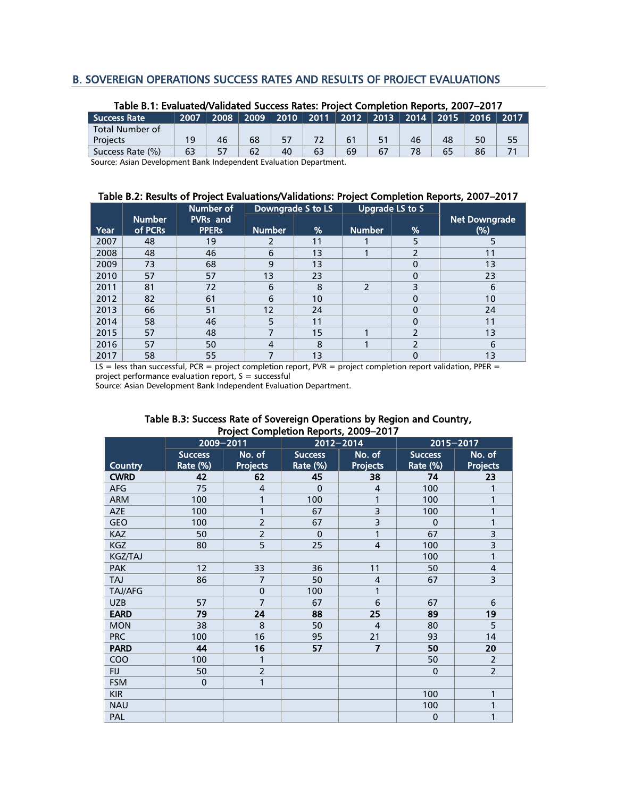### B. SOVEREIGN OPERATIONS SUCCESS RATES AND RESULTS OF PROJECT EVALUATIONS

| Table B.1: Evaluated/Validated Success Rates: Project Completion Reports, 2007–2017 |      |      |    |    |    |    |    |    |    |                                                           |      |
|-------------------------------------------------------------------------------------|------|------|----|----|----|----|----|----|----|-----------------------------------------------------------|------|
| <b>Success Rate</b>                                                                 | 2007 | 2008 |    |    |    |    |    |    |    | │ 2009 │ 2010 │ 2011 │ 2012 │ 2013 │ 2014 │ 2015 │ 2016 │ | 2017 |
| Total Number of                                                                     |      |      |    |    |    |    |    |    |    |                                                           |      |
| <b>Projects</b>                                                                     | 19   | 46   | 68 | 57 |    | 61 | 51 | 46 | 48 | 50                                                        | 55   |
| Success Rate (%)                                                                    | 63   | 57   | 62 | 40 | 63 | 69 | 67 | 78 | 65 | 86                                                        |      |
| .<br>.                                                                              |      |      |    |    |    |    |    |    |    |                                                           |      |

# Table B.1: Evaluated/Validated Success Rates: Project Completion Reports, 2007–2017

Source: Asian Development Bank Independent Evaluation Department.

#### Table B.2: Results of Project Evaluations/Validations: Project Completion Reports, 2007–2017

|      |                          | Number of                       |                | Downgrade S to LS |                | Upgrade LS to S |                         |
|------|--------------------------|---------------------------------|----------------|-------------------|----------------|-----------------|-------------------------|
| Year | <b>Number</b><br>of PCRs | <b>PVRs</b> and<br><b>PPERS</b> | <b>Number</b>  | %                 | <b>Number</b>  | $\%$            | Net Downgrade<br>$(\%)$ |
| 2007 | 48                       | 19                              | 2              | 11                |                | 5               | 5                       |
| 2008 | 48                       | 46                              | 6              | 13                |                | 2               | 11                      |
| 2009 | 73                       | 68                              | 9              | 13                |                | $\mathbf{0}$    | 13                      |
| 2010 | 57                       | 57                              | 13             | 23                |                | $\Omega$        | 23                      |
| 2011 | 81                       | 72                              | 6              | 8                 | $\overline{2}$ | 3               | 6                       |
| 2012 | 82                       | 61                              | 6              | 10                |                | $\Omega$        | 10                      |
| 2013 | 66                       | 51                              | 12             | 24                |                | $\mathbf{0}$    | 24                      |
| 2014 | 58                       | 46                              | 5              | 11                |                | $\Omega$        | 11                      |
| 2015 | 57                       | 48                              |                | 15                |                | 2               | 13                      |
| 2016 | 57                       | 50                              | $\overline{4}$ | 8                 |                | 2               | 6                       |
| 2017 | 58                       | 55                              |                | 13                |                | $\mathbf 0$     | 13                      |

LS = less than successful, PCR = project completion report, PVR = project completion report validation, PPER = project performance evaluation report, S = successful

Source: Asian Development Bank Independent Evaluation Department.

|                | 2009-2011                  | rioject completion reports, 2009–2017 | 2015-2017                               |                           |                            |                           |
|----------------|----------------------------|---------------------------------------|-----------------------------------------|---------------------------|----------------------------|---------------------------|
| Country        | <b>Success</b><br>Rate (%) | No. of<br>Projects                    | 2012-2014<br><b>Success</b><br>Rate (%) | No. of<br><b>Projects</b> | <b>Success</b><br>Rate (%) | No. of<br><b>Projects</b> |
| <b>CWRD</b>    | 42                         | 62                                    | 45                                      | 38                        | 74                         | 23                        |
| <b>AFG</b>     | 75                         | $\overline{4}$                        | $\mathbf 0$                             | 4                         | 100                        |                           |
| <b>ARM</b>     | 100                        | 1                                     | 100                                     | 1                         | 100                        |                           |
| <b>AZE</b>     | 100                        | 1                                     | 67                                      | 3                         | 100                        |                           |
| GEO            | 100                        | $\overline{2}$                        | 67                                      | 3                         | $\Omega$                   | 1                         |
| <b>KAZ</b>     | 50                         | $\overline{2}$                        | $\mathbf 0$                             | 1                         | 67                         | 3                         |
| KGZ            | 80                         | $\overline{5}$                        | 25                                      | $\overline{\mathcal{L}}$  | 100                        | 3                         |
| <b>KGZ/TAJ</b> |                            |                                       |                                         |                           | 100                        | 1                         |
| <b>PAK</b>     | 12                         | 33                                    | 36                                      | 11                        | 50                         | $\overline{4}$            |
| TAJ            | 86                         | $\overline{7}$                        | 50                                      | $\overline{4}$            | 67                         | 3                         |
| TAJ/AFG        |                            | $\mathbf{0}$                          | 100                                     | 1                         |                            |                           |
| <b>UZB</b>     | 57                         | $\overline{7}$                        | 67                                      | 6                         | 67                         | 6                         |
| <b>EARD</b>    | 79                         | 24                                    | 88                                      | 25                        | 89                         | 19                        |
| <b>MON</b>     | 38                         | 8                                     | 50                                      | $\overline{4}$            | 80                         | $\overline{5}$            |
| <b>PRC</b>     | 100                        | 16                                    | 95                                      | 21                        | 93                         | 14                        |
| <b>PARD</b>    | 44                         | 16                                    | 57                                      | $\overline{7}$            | 50                         | 20                        |
| COO            | 100                        | 1                                     |                                         |                           | 50                         | $\overline{2}$            |
| <b>FIJ</b>     | 50                         | $\overline{2}$                        |                                         |                           | $\mathbf 0$                | $\overline{2}$            |
| <b>FSM</b>     | $\mathbf 0$                | 1                                     |                                         |                           |                            |                           |
| <b>KIR</b>     |                            |                                       |                                         |                           | 100                        | 1                         |
| <b>NAU</b>     |                            |                                       |                                         |                           | 100                        | 1                         |
| PAL            |                            |                                       |                                         |                           | $\mathbf 0$                | 1                         |

#### Table B.3: Success Rate of Sovereign Operations by Region and Country, Project Completion Reports, 2009–2017